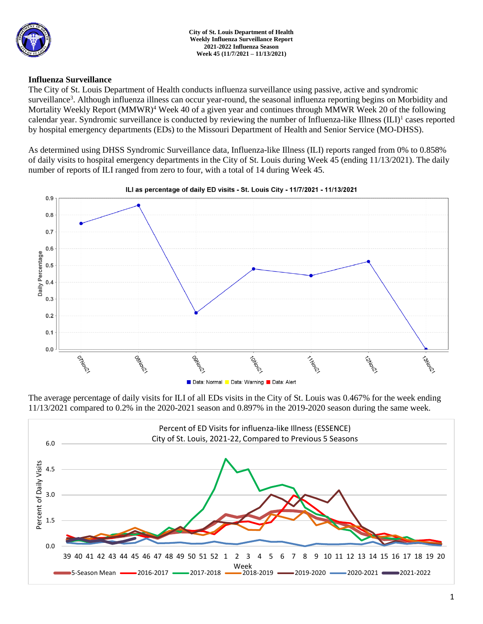

### **Influenza Surveillance**

The City of St. Louis Department of Health conducts influenza surveillance using passive, active and syndromic surveillance<sup>3</sup>. Although influenza illness can occur year-round, the seasonal influenza reporting begins on Morbidity and Mortality Weekly Report (MMWR)<sup>4</sup> Week 40 of a given year and continues through MMWR Week 20 of the following calendar year. Syndromic surveillance is conducted by reviewing the number of Influenza-like Illness (ILI)<sup>1</sup> cases reported by hospital emergency departments (EDs) to the Missouri Department of Health and Senior Service (MO-DHSS).

As determined using DHSS Syndromic Surveillance data, Influenza-like Illness (ILI) reports ranged from 0% to 0.858% of daily visits to hospital emergency departments in the City of St. Louis during Week 45 (ending 11/13/2021). The daily number of reports of ILI ranged from zero to four, with a total of 14 during Week 45.



The average percentage of daily visits for ILI of all EDs visits in the City of St. Louis was 0.467% for the week ending 11/13/2021 compared to 0.2% in the 2020-2021 season and 0.897% in the 2019-2020 season during the same week.

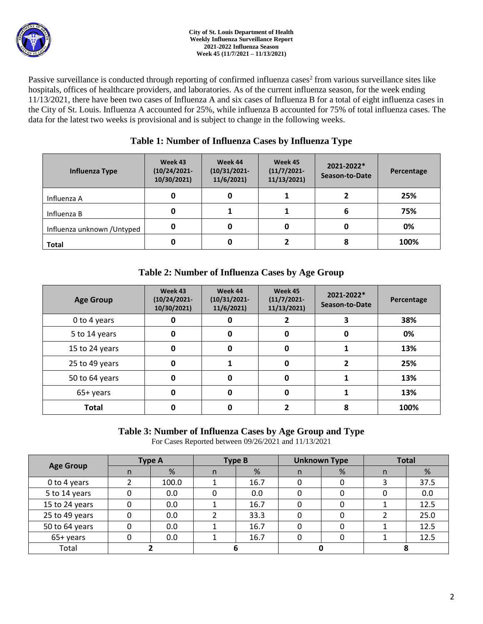

Passive surveillance is conducted through reporting of confirmed influenza cases<sup>2</sup> from various surveillance sites like hospitals, offices of healthcare providers, and laboratories. As of the current influenza season, for the week ending 11/13/2021, there have been two cases of Influenza A and six cases of Influenza B for a total of eight influenza cases in the City of St. Louis. Influenza A accounted for 25%, while influenza B accounted for 75% of total influenza cases. The data for the latest two weeks is provisional and is subject to change in the following weeks.

## **Table 1: Number of Influenza Cases by Influenza Type**

| Influenza Type              | Week 43<br>$(10/24/2021 -$<br>10/30/2021) | Week 44<br>$(10/31/2021 -$<br>11/6/2021 | Week 45<br>$(11/7/2021 -$<br>11/13/2021 | 2021-2022*<br>Season-to-Date | Percentage |  |
|-----------------------------|-------------------------------------------|-----------------------------------------|-----------------------------------------|------------------------------|------------|--|
| Influenza A                 | 0                                         |                                         |                                         |                              | 25%        |  |
| Influenza B                 | 0                                         |                                         |                                         | 6                            | 75%        |  |
| Influenza unknown / Untyped | 0                                         |                                         | 0                                       |                              | 0%         |  |
| <b>Total</b>                | 0                                         | 0                                       |                                         | ۰                            | 100%       |  |

# **Table 2: Number of Influenza Cases by Age Group**

| <b>Age Group</b> | Week 43<br>$(10/24/2021 -$<br>10/30/2021) | Week 44<br>$(10/31/2021 -$<br>11/6/2021 | Week 45<br>$(11/7/2021 -$<br>11/13/2021) | 2021-2022*<br>Season-to-Date | Percentage |
|------------------|-------------------------------------------|-----------------------------------------|------------------------------------------|------------------------------|------------|
| 0 to 4 years     | 0                                         | O                                       |                                          | 3                            | 38%        |
| 5 to 14 years    | 0                                         | 0                                       | 0                                        | 0                            | 0%         |
| 15 to 24 years   | 0                                         | 0                                       | 0                                        |                              | 13%        |
| 25 to 49 years   | 0                                         |                                         | 0                                        | 2                            | 25%        |
| 50 to 64 years   | 0                                         | 0                                       | 0                                        |                              | 13%        |
| 65+ years        | 0                                         | 0                                       | 0                                        |                              | 13%        |
| <b>Total</b>     | 0                                         | Ω                                       |                                          | 8                            | 100%       |

### **Table 3: Number of Influenza Cases by Age Group and Type**

For Cases Reported between 09/26/2021 and 11/13/2021

| <b>Age Group</b> | <b>Type A</b> |       | <b>Type B</b> |      | <b>Unknown Type</b> |   | <b>Total</b> |      |
|------------------|---------------|-------|---------------|------|---------------------|---|--------------|------|
|                  |               | %     |               | %    | n                   | % | n            | %    |
| 0 to 4 years     |               | 100.0 |               | 16.7 |                     |   |              | 37.5 |
| 5 to 14 years    |               | 0.0   |               | 0.0  |                     |   |              | 0.0  |
| 15 to 24 years   |               | 0.0   |               | 16.7 |                     |   |              | 12.5 |
| 25 to 49 years   |               | 0.0   |               | 33.3 |                     |   |              | 25.0 |
| 50 to 64 years   |               | 0.0   |               | 16.7 |                     |   |              | 12.5 |
| 65+ years        |               | 0.0   |               | 16.7 |                     |   |              | 12.5 |
| Total            |               |       |               |      |                     |   |              |      |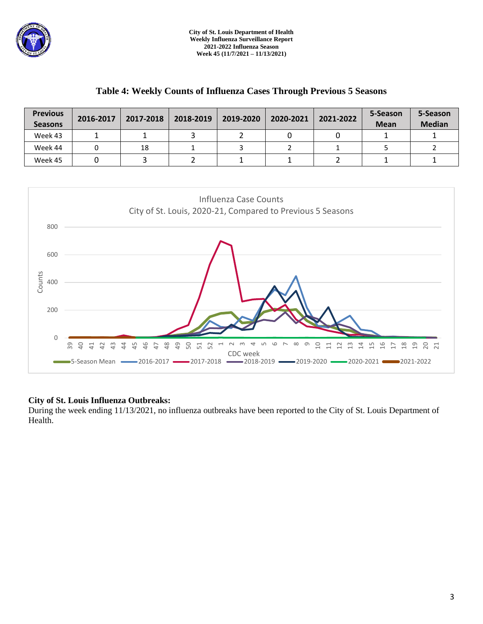

### **Table 4: Weekly Counts of Influenza Cases Through Previous 5 Seasons**

| <b>Previous</b><br><b>Seasons</b> | 2016-2017 | 2017-2018 | 2018-2019 | 2019-2020 | 2020-2021 | 2021-2022 | 5-Season<br><b>Mean</b> | 5-Season<br><b>Median</b> |
|-----------------------------------|-----------|-----------|-----------|-----------|-----------|-----------|-------------------------|---------------------------|
| Week 43                           |           |           |           |           |           |           |                         |                           |
| Week 44                           |           | 18        |           |           |           |           |                         |                           |
| Week 45                           |           |           |           |           |           |           |                         |                           |



### **City of St. Louis Influenza Outbreaks:**

During the week ending 11/13/2021, no influenza outbreaks have been reported to the City of St. Louis Department of Health.